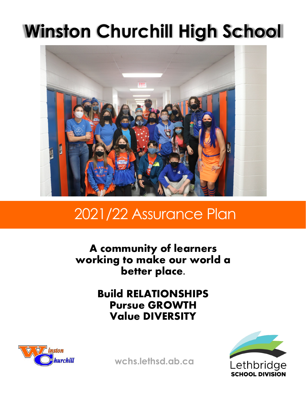# **Winston Churchill High School**



## 2021/22 Assurance Plan

**A community of learners working to make our world a better place.**

> **Build RELATIONSHIPS Pursue GROWTH Value DIVERSITY**





**wchs.lethsd.ab.ca**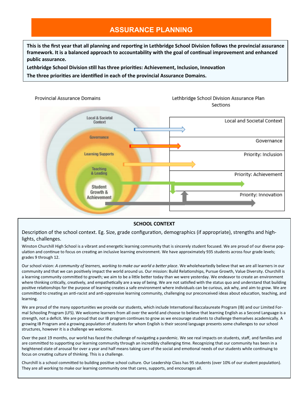### **ASSURANCE PLANNING**

**This is the first year that all planning and reporting in Lethbridge School Division follows the provincial assurance framework. It is a balanced approach to accountability with the goal of continual improvement and enhanced public assurance.** 

**Lethbridge School Division still has three priorities: Achievement, Inclusion, Innovation**

**The three priorities are identified in each of the provincial Assurance Domains.** 



#### **SCHOOL CONTEXT**

Description of the school context. Eg. Size, grade configuration, demographics (if appropriate), strengths and highlights, challenges.

Winston Churchill High School is a vibrant and energetic learning community that is sincerely student focused. We are proud of our diverse population and continue to focus on creating an inclusive learning environment. We have approximately 935 students across four grade levels; grades 9 through 12.

Our school vision: *A community of learners, working to make our world a better place*. We wholeheartedly believe that we are all learners in our community and that we can positively impact the world around us. Our mission: Build Relationships, Pursue Growth, Value Diversity. Churchill is a learning community committed to growth; we aim to be a little better today than we were yesterday. We endeavor to create an environment where thinking critically, creatively, and empathetically are a way of being. We are not satisfied with the status quo and understand that building positive relationships for the purpose of learning creates a safe environment where individuals can be curious, ask why, and aim to grow. We are committed to creating an anti-racist and anti-oppressive learning community, challenging our preconceived ideas about education, teaching, and learning.

We are proud of the many opportunities we provide our students, which include International Baccalaureate Program (IB) and our Limited Formal Schooling Program (LFS). We welcome learners from all over the world and choose to believe that learning English as a Second Language is a strength, not a deficit. We are proud that our IB program continues to grow as we encourage students to challenge themselves academically. A growing IB Program and a growing population of students for whom English is their second language presents some challenges to our school structures, however it is a challenge we welcome.

Over the past 19 months, our world has faced the challenge of navigating a pandemic. We see real impacts on students, staff, and families and are committed to supporting our learning community through an incredibly challenging time. Recognizing that our community has been in a heightened state of arousal for over a year and half means taking care of the social and emotional needs of our students while continuing to focus on creating culture of thinking. This is a challenge.

Churchill is a school committed to building positive school culture. Our Leadership Class has 95 students (over 10% of our student population). They are all working to make our learning community one that cares, supports, and encourages all.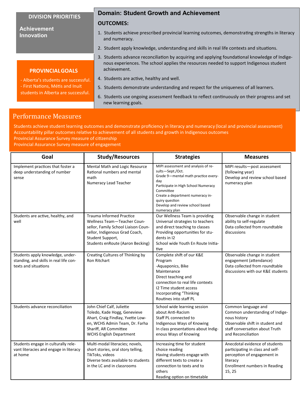#### **DIVISION PRIORITIES**

#### **Achievement Innovation**

#### **Domain: Student Growth and Achievement**

#### **OUTCOMES:**

- 1. Students achieve prescribed provincial learning outcomes, demonstrating strengths in literacy and numeracy.
- 2. Student apply knowledge, understanding and skills in real life contexts and situations.
- 3. Students advance reconciliation by acquiring and applying foundational knowledge of Indigenous experiences. The school applies the resources needed to support Indigenous student achievement.
- Alberta's students are successful.
- First Nations, Métis and Inuit
- students in Alberta are successful.

**PROVINCIALGOALS**

- 4. Students are active, healthy and well.
- 5. Students demonstrate understanding and respect for the uniqueness of all learners.
- 6. Students use ongoing assessment feedback to reflect continuously on their progress and set new learning goals.

#### Performance Measures

Students achieve student learning outcomes and demonstrate proficiency in literacy and numeracy (local and provincial assessment) Accountability pillar outcomes relative to achievement of all students and growth in Indigenous outcomes

Provincial Assurance Survey measure of citizenship

Provincial Assurance Survey measure of engagement

| Goal                                                                                               | <b>Study/Resources</b>                                                                                                                                                                          | <b>Strategies</b>                                                                                                                                                                                                                                                   | <b>Measures</b>                                                                                                                                                   |
|----------------------------------------------------------------------------------------------------|-------------------------------------------------------------------------------------------------------------------------------------------------------------------------------------------------|---------------------------------------------------------------------------------------------------------------------------------------------------------------------------------------------------------------------------------------------------------------------|-------------------------------------------------------------------------------------------------------------------------------------------------------------------|
| Implement practices that foster a<br>deep understanding of number<br>sense                         | Mental Math and Logic Resource<br>Rational numbers and mental<br>math<br>Numeracy Lead Teacher                                                                                                  | MIPI assessment and analysis of re-<br>sults-Sept./Oct.<br>Grade 9-mental math practice every-<br>day<br>Participate in High School Numeracy<br>Committee<br>Create a department numeracy in-<br>quiry question<br>Develop and review school based<br>numeracy plan | MIPI results-post assessment<br>(following year)<br>Develop and review school based<br>numeracy plan                                                              |
| Students are active, healthy, and<br>well                                                          | <b>Trauma Informed Practice</b><br>Wellness Team-Teacher Coun-<br>sellor, Family School Liaison Coun-<br>sellor, Indigenous Grad Coach,<br>Student Support,<br>Students enRoute (Aaron Becking) | Our Wellness Team is providing<br>Universal strategies to teachers<br>and direct teaching to classes<br>Providing opportunities for stu-<br>dents in 12<br>School wide Youth En Route Initia-<br>tive                                                               | Observable change in student<br>ability to self-regulate<br>Data collected from roundtable<br>discussions                                                         |
| Students apply knowledge, under-<br>standing, and skills in real life con-<br>texts and situations | Creating Cultures of Thinking by<br><b>Ron Ritchart</b>                                                                                                                                         | Complete shift of our K&E<br>Program<br>-Aquaponics, Bike<br>Maintenance<br>Direct teaching and<br>connection to real life contexts<br>12 Time student access<br>Incorporating "Thinking<br>Routines into staff PL                                                  | Observable change in student<br>engagement (attendance)<br>Data collected from roundtable<br>discussions with our K&E students                                    |
| Students advance reconciliation                                                                    | John Chief Calf, Juliette<br>Toledo, Kade Hogg, Genevieve<br>Ahart, Craig Findlay, Yvette Low-<br>en, WCHS Admin Team, Dr. Farha<br>Shariff, AR Committee<br><b>WCHS English Department</b>     | School wide learning session<br>about Anti-Racism<br>Staff PL connected to<br>Indigenous Ways of Knowing<br>In class presentations about Indig-<br>enous Ways of Knowing                                                                                            | Common language and<br>Common understanding of Indige-<br>nous history<br>Observable shift in student and<br>staff conversation about Truth<br>and Reconciliation |
| Students engage in culturally rele-<br>vant literacies and engage in literacy<br>at home           | Multi-modal literacies; novels,<br>short stories, oral story telling,<br>TikToks, videos<br>Diverse texts available to students<br>in the LC and in classrooms                                  | Increasing time for student<br>choice reading<br>Having students engage with<br>different texts to create a<br>connection to texts and to<br>others<br>Reading option on timetable                                                                                  | Anecdotal evidence of students<br>participating in class and self-<br>perception of engagement in<br>literacy<br><b>Enrollment numbers in Reading</b><br>15, 25   |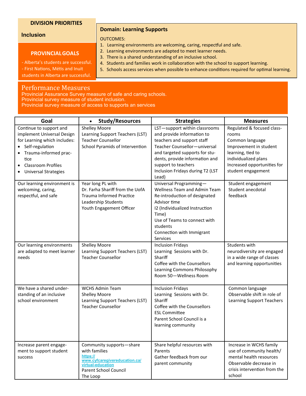#### **DIVISION PRIORITIES**

#### **Inclusion**

#### **PROVINCIALGOALS**

- Alberta's students are successful.

**Domain: Learning Supports**

#### OUTCOMES:

- 1. Learning environments are welcoming, caring, respectful and safe.
- 2. Learning environments are adapted to meet learner needs.
- 3. There is a shared understanding of an inclusive school.
- 4. Students and families work in collaboration with the school to support learning.
- 5. Schools access services when possible to enhance conditions required for optimal learning.

- First Nations, Métis and Inuit students in Alberta are successful.

#### Performance Measures

Provincial Assurance Survey measure of safe and caring schools. Provincial survey measure of student inclusion.

Provincial survey measure of access to supports an services

| Goal                                                                                                                                                                                                  | <b>Study/Resources</b><br>$\bullet$                                                                                                              | <b>Strategies</b>                                                                                                                                                                                                                                                 | <b>Measures</b>                                                                                                                                                                    |
|-------------------------------------------------------------------------------------------------------------------------------------------------------------------------------------------------------|--------------------------------------------------------------------------------------------------------------------------------------------------|-------------------------------------------------------------------------------------------------------------------------------------------------------------------------------------------------------------------------------------------------------------------|------------------------------------------------------------------------------------------------------------------------------------------------------------------------------------|
| Continue to support and<br>implement Universal Design<br>for Learning which includes:<br>Self-regulation<br>Trauma-informed prac-<br>tice<br><b>Classroom Profiles</b><br><b>Universal Strategies</b> | <b>Shelley Moore</b><br>Learning Support Teachers (LST)<br><b>Teacher Counsellor</b><br>School Pyramids of Intervention                          | LST-support within classrooms<br>and provide information to<br>teachers and support staff<br>Teacher Counsellor-universal<br>and targeted supports for stu-<br>dents, provide information and<br>support to teachers<br>Inclusion Fridays during T2 (LST<br>Lead) | Regulated & focused class-<br>rooms<br>Common language<br>Improvement in student<br>learning, tied to<br>individualized plans<br>Increased opportunities for<br>student engagement |
| Our learning environment is<br>welcoming, caring,<br>respectful, and safe                                                                                                                             | Year long PL with<br>Dr. Farha Shariff from the UofA<br><b>Trauma Informed Practice</b><br>Leadership Students<br>Youth Engagement Officer       | Universal Programming-<br><b>Wellness Team and Admin Team</b><br>Re-introduction of designated<br>Advisor time<br>I2 (Individualized Instruction<br>Time)<br>Use of Teams to connect with<br>students<br>Connection with Immigrant<br>Services                    | Student engagement<br>Student anecdotal<br>feedback                                                                                                                                |
| Our learning environments<br>are adapted to meet learner<br>needs                                                                                                                                     | <b>Shelley Moore</b><br>Learning Support Teachers (LST)<br><b>Teacher Counsellor</b>                                                             | <b>Inclusion Fridays</b><br>Learning Sessions with Dr.<br>Shariff<br>Coffee with the Counsellors<br>Learning Commons Philosophy<br>Room 50-Wellness Room                                                                                                          | Students with<br>neurodiversity are engaged<br>in a wide range of classes<br>and learning opportunities                                                                            |
| We have a shared under-<br>standing of an inclusive<br>school environment                                                                                                                             | <b>WCHS Admin Team</b><br><b>Shelley Moore</b><br>Learning Support Teachers (LST)<br><b>Teacher Counsellor</b>                                   | <b>Inclusion Fridays</b><br>Learning Sessions with Dr.<br>Shariff<br>Coffee with the Counsellors<br><b>ESL Committee</b><br>Parent School Council is a<br>learning community                                                                                      | Common language<br>Observable shift in role of<br><b>Learning Support Teachers</b>                                                                                                 |
| Increase parent engage-<br>ment to support student<br>success                                                                                                                                         | Community supports-share<br>with families<br>https://<br>www.cyfcaregivereducation.ca/<br>virtual-education<br>Parent School Council<br>The Loop | Share helpful resources with<br>Parents<br>Gather feedback from our<br>parent community                                                                                                                                                                           | Increase in WCHS family<br>use of community health/<br>mental health resources<br>Observable decrease in<br>crisis intervention from the<br>school                                 |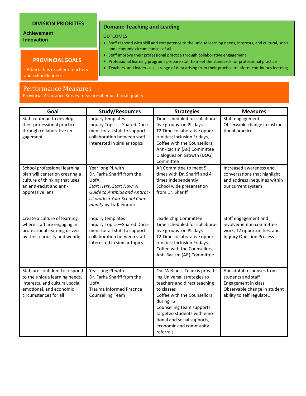#### **DIVISION PRIORITIES**

#### **Achievement Innovation**

#### **PROVINCIALGOALS**

- Alberta has excellent teachers and school leaders

#### Performance Measures

Provincial Assurance Survey measure of educational quality

| Goal                                                                                                                                                    |                                                                                                                                                                                  |                                                                                                                                                                                                                                                                                         | <b>Measures</b>                                                                                                                    |
|---------------------------------------------------------------------------------------------------------------------------------------------------------|----------------------------------------------------------------------------------------------------------------------------------------------------------------------------------|-----------------------------------------------------------------------------------------------------------------------------------------------------------------------------------------------------------------------------------------------------------------------------------------|------------------------------------------------------------------------------------------------------------------------------------|
|                                                                                                                                                         | <b>Study/Resources</b>                                                                                                                                                           | <b>Strategies</b>                                                                                                                                                                                                                                                                       |                                                                                                                                    |
| Staff continue to develop<br>their professional practice<br>through collaborative en-<br>gagement                                                       | Inquiry templates<br>Inquiry Topics-Shared Docu-<br>ment for all staff to support<br>collaboration between staff<br>interested in similar topics                                 | Time scheduled for collabora-<br>tive groups on PL days<br>T2 Time collaborative oppor-<br>tunities; Inclusion Fridays,<br>Coffee with the Counsellors,<br>Anti-Racism (AR) Committee<br>Dialogues on Growth (DOG)<br>Committee                                                         | Staff engagement<br>Observable change in instruc-<br>tional practice                                                               |
| School professional learning<br>plan will center on creating a<br>culture of thinking that uses<br>an anti-racist and anti-<br>oppressive lens          | Year long PL with<br>Dr. Farha Shariff from the<br>UofA<br>Start Here, Start Now: A<br>Guide to Antibias and Antirac-<br>ist work in Your School Com-<br>munity by Liz Kleinrock | AR Committee to meet 5<br>times with Dr. Shariff and 4<br>times independently<br>School wide presentation<br>from Dr. Shariff                                                                                                                                                           | Increased awareness and<br>conversations that highlight<br>and address inequities within<br>our current system                     |
| Create a culture of learning<br>where staff are engaging in<br>professional learning driven<br>by their curiosity and wonder                            | Inquiry templates<br>Inquiry Topics-Shared Docu-<br>ment for all staff to support<br>collaboration between staff<br>interested in similar topics                                 | Leadership Committee<br>Time scheduled for collabora-<br>tive groups on PL days<br>T2 Time collaborative oppor-<br>tunities; Inclusion Fridays,<br>Coffee with the Counsellors,<br>Anti-Racism (AR) Committee                                                                           | Staff engagement and<br>involvement in committee<br>work, T2 opportunities, and<br><b>Inquiry Question Process</b>                 |
| Staff are confident to respond<br>to the unique learning needs,<br>interests, and cultural, social,<br>emotional, and economic<br>circumstances for all | Year long PL with<br>Dr. Farha Shariff from the<br>UofA<br><b>Trauma Informed Practice</b><br><b>Counselling Team</b>                                                            | Our Wellness Team is provid-<br>ing Universal strategies to<br>teachers and direct teaching<br>to classes<br>Coffee with the Counsellors<br>during T2<br>Counselling team supports<br>targeted students with emo-<br>tional and social supports,<br>economic and community<br>referrals | Anecdotal responses from<br>students and staff<br>Engagement in class<br>Observable change in student<br>ability to self regulate1 |

**Domain: Teaching and Leading** 

OUTCOMES:

- Staff respond with skill and competence to the unique learning needs, interests, and cultural, social and economic circumstances of all.
- Staff improve their professional practice through collaborative engagement
- Professional learning programs prepare staff to meet the standards for professional practice
- Teachers and leaders use a range of data arising from their practice to inform continuous learning.